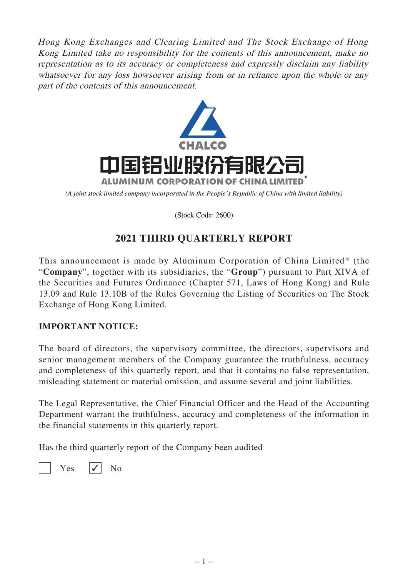Hong Kong Exchanges and Clearing Limited and The Stock Exchange of Hong Kong Limited take no responsibility for the contents of this announcement, make no representation as to its accuracy or completeness and expressly disclaim any liability whatsoever for any loss howsoever arising from or in reliance upon the whole or any part of the contents of this announcement.



(A joint stock limited company incorporated in the People's Republic of China with limited liability)

(Stock Code: 2600)

## **2021 THIRD QUARTERLY REPORT**

This announcement is made by Aluminum Corporation of China Limited\* (the "**Company**", together with its subsidiaries, the "**Group**") pursuant to Part XIVA of the Securities and Futures Ordinance (Chapter 571, Laws of Hong Kong) and Rule 13.09 and Rule 13.10B of the Rules Governing the Listing of Securities on The Stock Exchange of Hong Kong Limited.

#### **IMPORTANT NOTICE:**

The board of directors, the supervisory committee, the directors, supervisors and senior management members of the Company guarantee the truthfulness, accuracy and completeness of this quarterly report, and that it contains no false representation, misleading statement or material omission, and assume several and joint liabilities.

The Legal Representative, the Chief Financial Officer and the Head of the Accounting Department warrant the truthfulness, accuracy and completeness of the information in the financial statements in this quarterly report.

Has the third quarterly report of the Company been audited

 $Yes \mid \checkmark \mid No$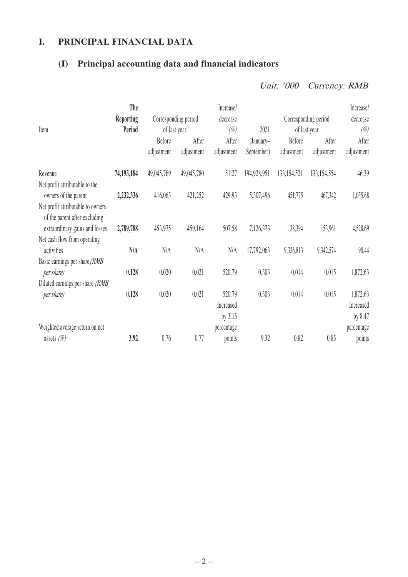### **I. PRINCIPAL FINANCIAL DATA**

## **(I) Principal accounting data and financial indicators**

# Unit: '000 Currency: RMB

|                                                                    | The              |              |                      | Increase/  |             |               |                      | Increase/  |
|--------------------------------------------------------------------|------------------|--------------|----------------------|------------|-------------|---------------|----------------------|------------|
|                                                                    | <b>Reporting</b> |              | Corresponding period | decrease   |             |               | Corresponding period | decrease   |
| Item                                                               | Period           | of last year |                      | $(\%)$     | 2021        |               | of last year         | $(\%)$     |
|                                                                    |                  | Before       | After                | After      | (January-   | <b>Before</b> | After                | After      |
|                                                                    |                  | adjustment   | adjustment           | adjustment | September)  | adjustment    | adjustment           | adjustment |
| Revenue<br>Net profit attributable to the                          | 74,193,184       | 49,045,769   | 49,045,780           | 51.27      | 194,928,951 | 133, 154, 521 | 133, 154, 554        | 46.39      |
| owners of the parent                                               | 2,232,336        | 416,063      | 421,252              | 429.93     | 5,307,496   | 451,775       | 467,342              | 1,035.68   |
| Net profit attributable to owners<br>of the parent after excluding |                  |              |                      |            |             |               |                      |            |
| extraordinary gains and losses                                     | 2,789,788        | 453,975      | 459,164              | 507.58     | 7,126,373   | 138,394       | 153,961              | 4,528.69   |
| Net cash flow from operating<br>activities                         | N/A              | N/A          | N/A                  | N/A        | 17,792,063  | 9,336,813     | 9,342,574            | 90.44      |
| Basic earnings per share (RMB<br><i>per share</i> )                | 0.128            | 0.020        | 0.021                | 520.79     | 0.303       | 0.014         | 0.015                | 1,872.63   |
| Diluted earnings per share (RMB                                    |                  |              |                      |            |             |               |                      |            |
| <i>per share</i> )                                                 | 0.128            | 0.020        | 0.021                | 520.79     | 0.303       | 0.014         | 0.015                | 1,872.63   |
|                                                                    |                  |              |                      | Increased  |             |               |                      | Increased  |
|                                                                    |                  |              |                      | by $3.15$  |             |               |                      | by 8.47    |
| Weighted average return on net                                     |                  |              |                      | percentage |             |               |                      | percentage |
| assets $(\%)$                                                      | 3.92             | 0.76         | 0.77                 | points     | 9.32        | 0.82          | 0.85                 | points     |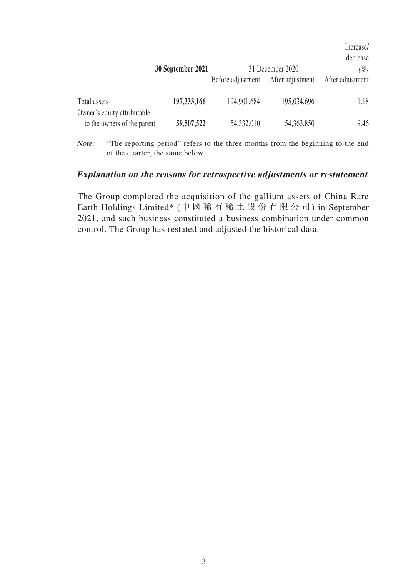|                                                            |                   |                   |                  | Increase/<br>decrease |
|------------------------------------------------------------|-------------------|-------------------|------------------|-----------------------|
|                                                            | 30 September 2021 |                   | 31 December 2020 | (%)                   |
|                                                            |                   | Before adjustment | After adjustment | After adjustment      |
| Total assets                                               | 197,333,166       | 194,901,684       | 195,034,696      | 1.18                  |
| Owner's equity attributable<br>to the owners of the parent | 59,507,522        | 54,332,010        | 54, 363, 850     | 9.46                  |
| $\mathbf{X}$ $\mathbf{Y}$                                  |                   |                   |                  |                       |

Note: "The reporting period" refers to the three months from the beginning to the end of the quarter, the same below.

#### **Explanation on the reasons for retrospective adjustments or restatement**

The Group completed the acquisition of the gallium assets of China Rare Earth Holdings Limited\* (中國稀有稀土股份有限公司) in September 2021, and such business constituted a business combination under common control. The Group has restated and adjusted the historical data.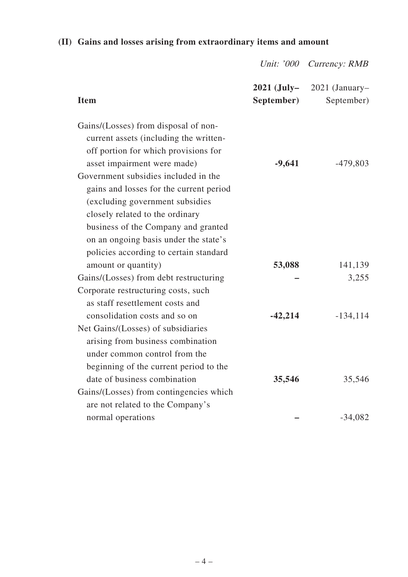# **(II) Gains and losses arising from extraordinary items and amount**

|                                                                                                                                                                                               |                             | Unit: '000 Currency: RMB     |
|-----------------------------------------------------------------------------------------------------------------------------------------------------------------------------------------------|-----------------------------|------------------------------|
| <b>Item</b>                                                                                                                                                                                   | $2021$ (July–<br>September) | 2021 (January-<br>September) |
| Gains/(Losses) from disposal of non-<br>current assets (including the written-<br>off portion for which provisions for                                                                        |                             |                              |
| asset impairment were made)<br>Government subsidies included in the                                                                                                                           | $-9,641$                    | $-479,803$                   |
| gains and losses for the current period<br>(excluding government subsidies<br>closely related to the ordinary<br>business of the Company and granted<br>on an ongoing basis under the state's |                             |                              |
| policies according to certain standard<br>amount or quantity)                                                                                                                                 | 53,088                      | 141,139                      |
| Gains/(Losses) from debt restructuring                                                                                                                                                        |                             | 3,255                        |
| Corporate restructuring costs, such<br>as staff resettlement costs and                                                                                                                        |                             |                              |
| consolidation costs and so on                                                                                                                                                                 | $-42,214$                   | $-134, 114$                  |
| Net Gains/(Losses) of subsidiaries<br>arising from business combination<br>under common control from the<br>beginning of the current period to the                                            |                             |                              |
| date of business combination                                                                                                                                                                  | 35,546                      | 35,546                       |
| Gains/(Losses) from contingencies which<br>are not related to the Company's                                                                                                                   |                             |                              |
| normal operations                                                                                                                                                                             |                             | $-34,082$                    |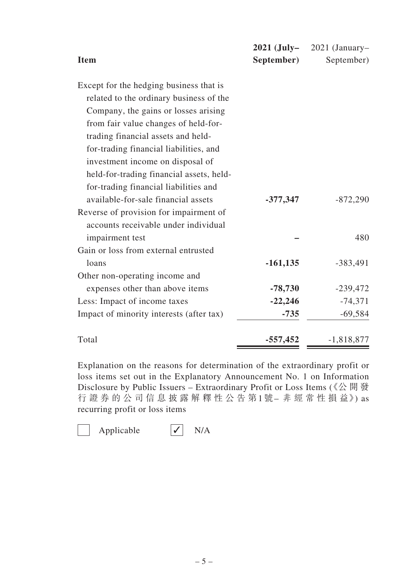|                                          | $2021$ (July– | 2021 (January- |
|------------------------------------------|---------------|----------------|
| <b>Item</b>                              | September)    | September)     |
| Except for the hedging business that is  |               |                |
| related to the ordinary business of the  |               |                |
| Company, the gains or losses arising     |               |                |
| from fair value changes of held-for-     |               |                |
| trading financial assets and held-       |               |                |
| for-trading financial liabilities, and   |               |                |
| investment income on disposal of         |               |                |
| held-for-trading financial assets, held- |               |                |
| for-trading financial liabilities and    |               |                |
| available-for-sale financial assets      | $-377,347$    | $-872,290$     |
| Reverse of provision for impairment of   |               |                |
| accounts receivable under individual     |               |                |
| impairment test                          |               | 480            |
| Gain or loss from external entrusted     |               |                |
| loans                                    | $-161, 135$   | $-383,491$     |
| Other non-operating income and           |               |                |
| expenses other than above items          | $-78,730$     | $-239,472$     |
| Less: Impact of income taxes             | $-22,246$     | $-74,371$      |
| Impact of minority interests (after tax) | $-735$        | $-69,584$      |
| Total                                    | $-557,452$    | $-1,818,877$   |

Explanation on the reasons for determination of the extraordinary profit or loss items set out in the Explanatory Announcement No. 1 on Information Disclosure by Public Issuers – Extraordinary Profit or Loss Items (《公 開 發 行證券的公司信息披露解釋性公告第1號– 非 經 常 性 損 益》) as recurring profit or loss items

Applicable  $\sqrt{\sqrt{N/A}}$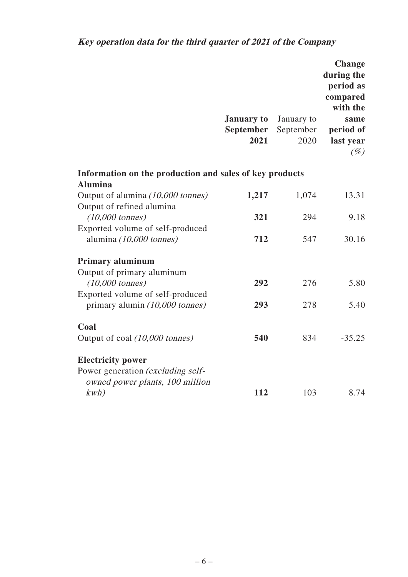# **Key operation data for the third quarter of 2021 of the Company**

|                                                                                 | <b>January to</b><br>September<br>2021 | January to<br>September<br>2020 | <b>Change</b><br>during the<br>period as<br>compared<br>with the<br>same<br>period of<br>last year<br>$(\%)$ |
|---------------------------------------------------------------------------------|----------------------------------------|---------------------------------|--------------------------------------------------------------------------------------------------------------|
| Information on the production and sales of key products                         |                                        |                                 |                                                                                                              |
| <b>Alumina</b><br>Output of alumina (10,000 tonnes)                             | 1,217                                  | 1,074                           | 13.31                                                                                                        |
| Output of refined alumina<br>$(10,000 \text{ tonnes})$                          | 321                                    | 294                             | 9.18                                                                                                         |
| Exported volume of self-produced<br>alumina (10,000 tonnes)                     | 712                                    | 547                             | 30.16                                                                                                        |
| <b>Primary aluminum</b>                                                         |                                        |                                 |                                                                                                              |
| Output of primary aluminum<br>$(10,000 \text{ tonnes})$                         | 292                                    | 276                             | 5.80                                                                                                         |
| Exported volume of self-produced<br>primary alumin (10,000 tonnes)              | 293                                    | 278                             | 5.40                                                                                                         |
| Coal<br>Output of coal (10,000 tonnes)                                          | 540                                    | 834                             | $-35.25$                                                                                                     |
| <b>Electricity power</b>                                                        |                                        |                                 |                                                                                                              |
| Power generation (excluding self-<br>owned power plants, 100 million<br>$kwh$ ) | 112                                    | 103                             | 8.74                                                                                                         |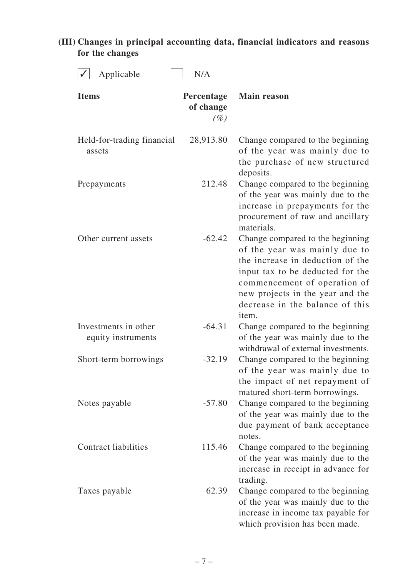| Applicable                                 | N/A                               |                                                                                                                                                                                                                                                           |
|--------------------------------------------|-----------------------------------|-----------------------------------------------------------------------------------------------------------------------------------------------------------------------------------------------------------------------------------------------------------|
| <b>Items</b>                               | Percentage<br>of change<br>$(\%)$ | <b>Main reason</b>                                                                                                                                                                                                                                        |
| Held-for-trading financial<br>assets       | 28,913.80                         | Change compared to the beginning<br>of the year was mainly due to<br>the purchase of new structured<br>deposits.                                                                                                                                          |
| Prepayments                                | 212.48                            | Change compared to the beginning<br>of the year was mainly due to the<br>increase in prepayments for the<br>procurement of raw and ancillary<br>materials.                                                                                                |
| Other current assets                       | $-62.42$                          | Change compared to the beginning<br>of the year was mainly due to<br>the increase in deduction of the<br>input tax to be deducted for the<br>commencement of operation of<br>new projects in the year and the<br>decrease in the balance of this<br>item. |
| Investments in other<br>equity instruments | $-64.31$                          | Change compared to the beginning<br>of the year was mainly due to the<br>withdrawal of external investments.                                                                                                                                              |
| Short-term borrowings                      | $-32.19$                          | Change compared to the beginning<br>of the year was mainly due to<br>the impact of net repayment of<br>matured short-term borrowings.                                                                                                                     |
| Notes payable                              | $-57.80$                          | Change compared to the beginning<br>of the year was mainly due to the<br>due payment of bank acceptance<br>notes.                                                                                                                                         |
| <b>Contract liabilities</b>                | 115.46                            | Change compared to the beginning<br>of the year was mainly due to the<br>increase in receipt in advance for<br>trading.                                                                                                                                   |
| Taxes payable                              | 62.39                             | Change compared to the beginning<br>of the year was mainly due to the<br>increase in income tax payable for<br>which provision has been made.                                                                                                             |

**(III) Changes in principal accounting data, financial indicators and reasons for the changes**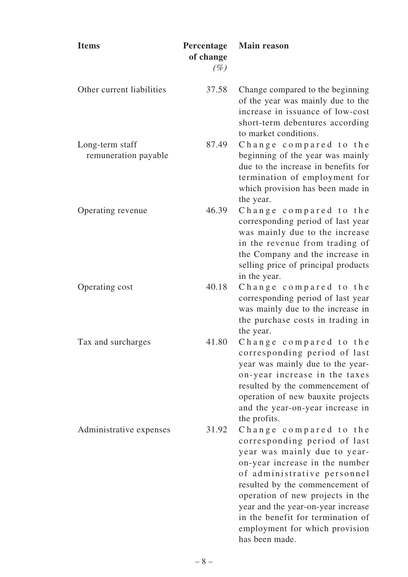| <b>Items</b>                            | Percentage<br>of change<br>$(\%)$ | <b>Main reason</b>                                                                                                                                                                                                                                                                                                                                            |
|-----------------------------------------|-----------------------------------|---------------------------------------------------------------------------------------------------------------------------------------------------------------------------------------------------------------------------------------------------------------------------------------------------------------------------------------------------------------|
| Other current liabilities               | 37.58                             | Change compared to the beginning<br>of the year was mainly due to the<br>increase in issuance of low-cost<br>short-term debentures according<br>to market conditions.                                                                                                                                                                                         |
| Long-term staff<br>remuneration payable | 87.49                             | Change compared to the<br>beginning of the year was mainly<br>due to the increase in benefits for<br>termination of employment for<br>which provision has been made in<br>the year.                                                                                                                                                                           |
| Operating revenue                       | 46.39                             | Change compared to the<br>corresponding period of last year<br>was mainly due to the increase<br>in the revenue from trading of<br>the Company and the increase in<br>selling price of principal products<br>in the year.                                                                                                                                     |
| Operating cost                          | 40.18                             | Change compared to the<br>corresponding period of last year<br>was mainly due to the increase in<br>the purchase costs in trading in<br>the year.                                                                                                                                                                                                             |
| Tax and surcharges                      | 41.80                             | Change compared to the<br>corresponding period of last<br>year was mainly due to the year-<br>on-year increase in the taxes<br>resulted by the commencement of<br>operation of new bauxite projects<br>and the year-on-year increase in<br>the profits.                                                                                                       |
| Administrative expenses                 | 31.92                             | Change compared to the<br>corresponding period of last<br>year was mainly due to year-<br>on-year increase in the number<br>of administrative personnel<br>resulted by the commencement of<br>operation of new projects in the<br>year and the year-on-year increase<br>in the benefit for termination of<br>employment for which provision<br>has been made. |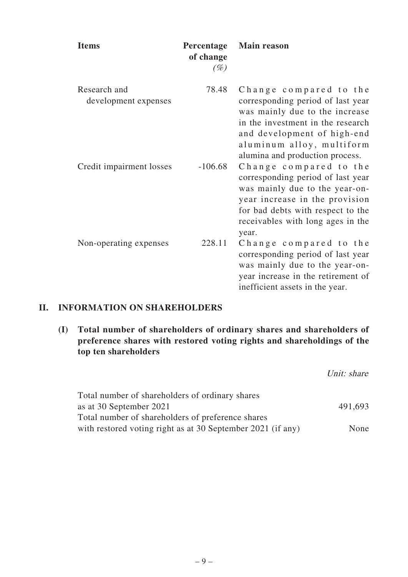| <b>Items</b>                         | Percentage<br>of change<br>$(\%)$ | <b>Main reason</b>                                                                                                                                                                                                                |
|--------------------------------------|-----------------------------------|-----------------------------------------------------------------------------------------------------------------------------------------------------------------------------------------------------------------------------------|
| Research and<br>development expenses | 78.48                             | Change compared to the<br>corresponding period of last year<br>was mainly due to the increase<br>in the investment in the research<br>and development of high-end<br>aluminum alloy, multiform<br>alumina and production process. |
| Credit impairment losses             | $-106.68$                         | Change compared to the<br>corresponding period of last year<br>was mainly due to the year-on-<br>year increase in the provision<br>for bad debts with respect to the<br>receivables with long ages in the<br>year.                |
| Non-operating expenses               | 228.11                            | Change compared to the<br>corresponding period of last year<br>was mainly due to the year-on-<br>year increase in the retirement of<br>inefficient assets in the year.                                                            |

## **II. INFORMATION ON SHAREHOLDERS**

**(I) Total number of shareholders of ordinary shares and shareholders of preference shares with restored voting rights and shareholdings of the top ten shareholders**

|                                                             | Unit: share |
|-------------------------------------------------------------|-------------|
| Total number of shareholders of ordinary shares             |             |
| as at 30 September 2021                                     | 491,693     |
| Total number of shareholders of preference shares           |             |
| with restored voting right as at 30 September 2021 (if any) | None        |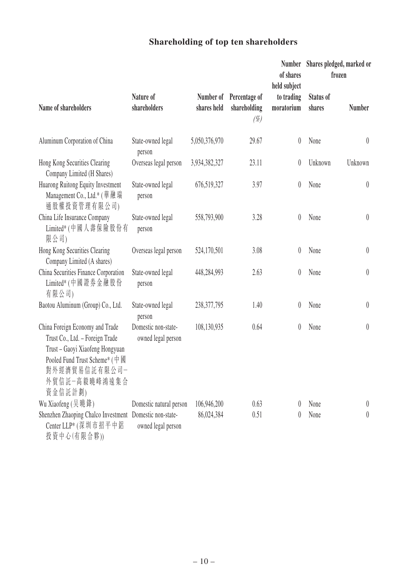# **Shareholding of top ten shareholders**

|                                                                                                                                                                                     |                                           |                          |                                      | <b>Number</b><br>of shares<br>held subject |                     | Shares pledged, marked or<br>frozen |
|-------------------------------------------------------------------------------------------------------------------------------------------------------------------------------------|-------------------------------------------|--------------------------|--------------------------------------|--------------------------------------------|---------------------|-------------------------------------|
| Name of shareholders                                                                                                                                                                | Nature of<br>shareholders                 | Number of<br>shares held | Percentage of<br>shareholding<br>(%) | to trading<br>moratorium                   | Status of<br>shares | <b>Number</b>                       |
| Aluminum Corporation of China                                                                                                                                                       | State-owned legal<br>person               | 5,050,376,970            | 29.67                                | 0                                          | None                | $\theta$                            |
| Hong Kong Securities Clearing<br>Company Limited (H Shares)                                                                                                                         | Overseas legal person                     | 3,934,382,327            | 23.11                                | 0                                          | Unknown             | Unknown                             |
| Huarong Ruitong Equity Investment<br>Management Co., Ltd.* (華融瑞<br>通股權投資管理有限公司)                                                                                                     | State-owned legal<br>person               | 676,519,327              | 3.97                                 | 0                                          | None                | $\theta$                            |
| China Life Insurance Company<br>Limited* (中國人壽保險股份有<br>限公司)                                                                                                                         | State-owned legal<br>person               | 558,793,900              | 3.28                                 | 0                                          | None                | $\theta$                            |
| Hong Kong Securities Clearing<br>Company Limited (A shares)                                                                                                                         | Overseas legal person                     | 524,170,501              | 3.08                                 | 0                                          | None                | $\theta$                            |
| China Securities Finance Corporation<br>Limited*(中國證券金融股份<br>有限公司)                                                                                                                  | State-owned legal<br>person               | 448,284,993              | 2.63                                 | 0                                          | None                | $\theta$                            |
| Baotou Aluminum (Group) Co., Ltd.                                                                                                                                                   | State-owned legal<br>person               | 238, 377, 795            | 1.40                                 | 0                                          | None                | $\theta$                            |
| China Foreign Economy and Trade<br>Trust Co., Ltd. - Foreign Trade<br>Trust - Gaoyi Xiaofeng Hongyuan<br>Pooled Fund Trust Scheme* (中國<br>對外經濟貿易信託有限公司一<br>外貿信託一高毅曉峰鴻遠集合<br>資金信託計劃) | Domestic non-state-<br>owned legal person | 108,130,935              | 0.64                                 | $\boldsymbol{0}$                           | None                | $\boldsymbol{0}$                    |
| Wu Xiaofeng (吴曉鋒)                                                                                                                                                                   | Domestic natural person                   | 106,946,200              | 0.63                                 | $\left( \right)$                           | None                | $\theta$                            |
| Shenzhen Zhaoping Chalco Investment<br>Center LLP* (深圳市招平中鋁<br>投資中心(有限合夥))                                                                                                          | Domestic non-state-<br>owned legal person | 86,024,384               | 0.51                                 | $\theta$                                   | None                | $\theta$                            |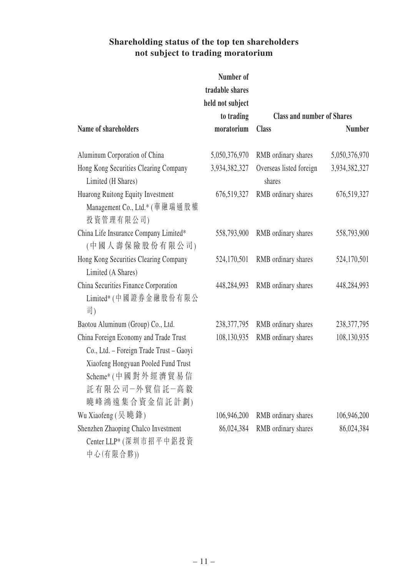### **Shareholding status of the top ten shareholders not subject to trading moratorium**

|                                                                                                                                                                                | Number of<br>tradable shares |                                   |               |
|--------------------------------------------------------------------------------------------------------------------------------------------------------------------------------|------------------------------|-----------------------------------|---------------|
|                                                                                                                                                                                | held not subject             |                                   |               |
|                                                                                                                                                                                | to trading                   | <b>Class and number of Shares</b> |               |
| Name of shareholders                                                                                                                                                           | moratorium                   | <b>Class</b>                      | <b>Number</b> |
| Aluminum Corporation of China                                                                                                                                                  | 5,050,376,970                | RMB ordinary shares               | 5,050,376,970 |
| Hong Kong Securities Clearing Company<br>Limited (H Shares)                                                                                                                    | 3,934,382,327                | Overseas listed foreign<br>shares | 3,934,382,327 |
| Huarong Ruitong Equity Investment<br>Management Co., Ltd.* (華融瑞通股權<br>投資管理有限公司)                                                                                                | 676,519,327                  | RMB ordinary shares               | 676,519,327   |
| China Life Insurance Company Limited*<br>(中國人壽保險股份有限公司)                                                                                                                        | 558,793,900                  | RMB ordinary shares               | 558,793,900   |
| Hong Kong Securities Clearing Company<br>Limited (A Shares)                                                                                                                    | 524,170,501                  | RMB ordinary shares               | 524,170,501   |
| China Securities Finance Corporation<br>Limited*(中國證券金融股份有限公<br>司)                                                                                                             | 448,284,993                  | RMB ordinary shares               | 448,284,993   |
| Baotou Aluminum (Group) Co., Ltd.                                                                                                                                              | 238, 377, 795                | RMB ordinary shares               | 238, 377, 795 |
| China Foreign Economy and Trade Trust<br>Co., Ltd. - Foreign Trade Trust - Gaoyi<br>Xiaofeng Hongyuan Pooled Fund Trust<br>Scheme*(中國對外經濟貿易信<br>託有限公司-外貿信託-高毅<br>曉峰鴻遠集合資金信託計劃) | 108,130,935                  | RMB ordinary shares               | 108,130,935   |
| Wu Xiaofeng (吴曉鋒)                                                                                                                                                              | 106,946,200                  | RMB ordinary shares               | 106,946,200   |
| Shenzhen Zhaoping Chalco Investment<br>Center LLP* (深圳市招平中鋁投資<br>中心(有限合夥))                                                                                                     | 86,024,384                   | RMB ordinary shares               | 86,024,384    |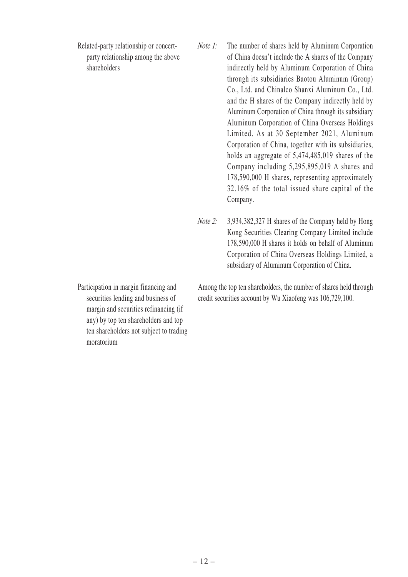Related-party relationship or concertparty relationship among the above shareholders

- Note 1: The number of shares held by Aluminum Corporation of China doesn't include the A shares of the Company indirectly held by Aluminum Corporation of China through its subsidiaries Baotou Aluminum (Group) Co., Ltd. and Chinalco Shanxi Aluminum Co., Ltd. and the H shares of the Company indirectly held by Aluminum Corporation of China through its subsidiary Aluminum Corporation of China Overseas Holdings Limited. As at 30 September 2021, Aluminum Corporation of China, together with its subsidiaries, holds an aggregate of 5,474,485,019 shares of the Company including 5,295,895,019 A shares and 178,590,000 H shares, representing approximately 32.16% of the total issued share capital of the Company.
- Note 2: 3,934,382,327 H shares of the Company held by Hong Kong Securities Clearing Company Limited include 178,590,000 H shares it holds on behalf of Aluminum Corporation of China Overseas Holdings Limited, a subsidiary of Aluminum Corporation of China.

Participation in margin financing and securities lending and business of margin and securities refinancing (if any) by top ten shareholders and top ten shareholders not subject to trading moratorium

Among the top ten shareholders, the number of shares held through credit securities account by Wu Xiaofeng was 106,729,100.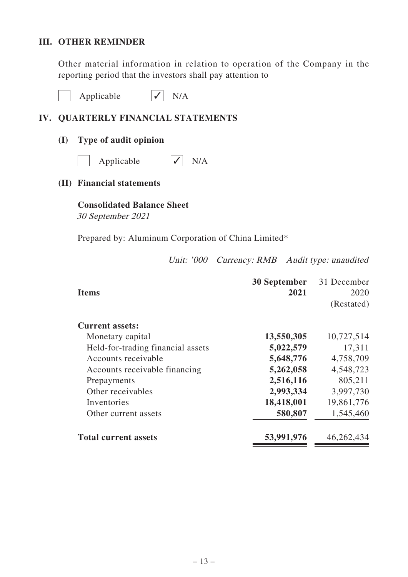#### **III. OTHER REMINDER**

Other material information in relation to operation of the Company in the reporting period that the investors shall pay attention to

Applicable  $\boxed{\checkmark}$  N/A

#### **IV. QUARTERLY FINANCIAL STATEMENTS**

#### **(I) Type of audit opinion**

Applicable  $\sqrt{\phantom{a}}$  N/A

#### **(II) Financial statements**

**Consolidated Balance Sheet** 30 September 2021

Prepared by: Aluminum Corporation of China Limited\*

Unit: '000 Currency: RMB Audit type: unaudited

| <b>Items</b>                      | <b>30 September</b><br>2021 | 31 December<br>2020<br>(Restated) |
|-----------------------------------|-----------------------------|-----------------------------------|
| <b>Current assets:</b>            |                             |                                   |
| Monetary capital                  | 13,550,305                  | 10,727,514                        |
| Held-for-trading financial assets | 5,022,579                   | 17,311                            |
| Accounts receivable               | 5,648,776                   | 4,758,709                         |
| Accounts receivable financing     | 5,262,058                   | 4,548,723                         |
| Prepayments                       | 2,516,116                   | 805,211                           |
| Other receivables                 | 2,993,334                   | 3,997,730                         |
| Inventories                       | 18,418,001                  | 19,861,776                        |
| Other current assets              | 580,807                     | 1,545,460                         |
| <b>Total current assets</b>       | 53,991,976                  | 46,262,434                        |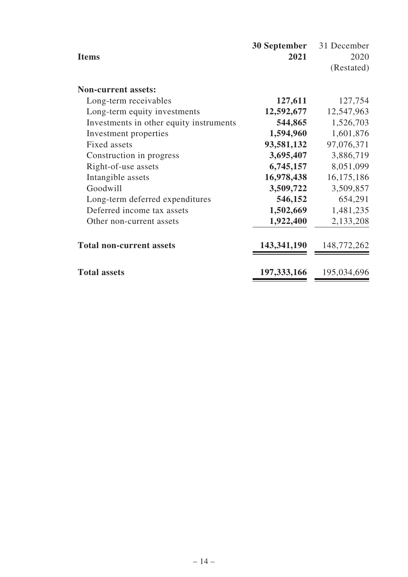|                                         | <b>30 September</b> | 31 December  |
|-----------------------------------------|---------------------|--------------|
| <b>Items</b>                            | 2021                | 2020         |
|                                         |                     | (Restated)   |
| <b>Non-current assets:</b>              |                     |              |
| Long-term receivables                   | 127,611             | 127,754      |
| Long-term equity investments            | 12,592,677          | 12,547,963   |
| Investments in other equity instruments | 544,865             | 1,526,703    |
| Investment properties                   | 1,594,960           | 1,601,876    |
| Fixed assets                            | 93,581,132          | 97,076,371   |
| Construction in progress                | 3,695,407           | 3,886,719    |
| Right-of-use assets                     | 6,745,157           | 8,051,099    |
| Intangible assets                       | 16,978,438          | 16, 175, 186 |
| Goodwill                                | 3,509,722           | 3,509,857    |
| Long-term deferred expenditures         | 546,152             | 654,291      |
| Deferred income tax assets              | 1,502,669           | 1,481,235    |
| Other non-current assets                | 1,922,400           | 2,133,208    |
| <b>Total non-current assets</b>         | 143,341,190         | 148,772,262  |
| <b>Total assets</b>                     | 197, 333, 166       | 195,034,696  |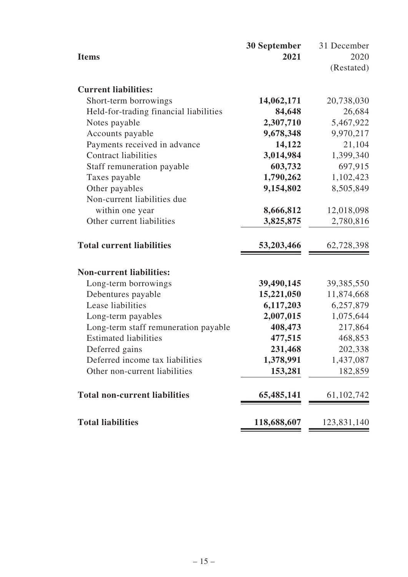|                                        | <b>30 September</b> | 31 December  |
|----------------------------------------|---------------------|--------------|
| <b>Items</b>                           | 2021                | 2020         |
|                                        |                     | (Restated)   |
| <b>Current liabilities:</b>            |                     |              |
| Short-term borrowings                  | 14,062,171          | 20,738,030   |
| Held-for-trading financial liabilities | 84,648              | 26,684       |
| Notes payable                          | 2,307,710           | 5,467,922    |
| Accounts payable                       | 9,678,348           | 9,970,217    |
| Payments received in advance           | 14,122              | 21,104       |
| <b>Contract liabilities</b>            | 3,014,984           | 1,399,340    |
| Staff remuneration payable             | 603,732             | 697,915      |
| Taxes payable                          | 1,790,262           | 1,102,423    |
| Other payables                         | 9,154,802           | 8,505,849    |
| Non-current liabilities due            |                     |              |
| within one year                        | 8,666,812           | 12,018,098   |
| Other current liabilities              | 3,825,875           | 2,780,816    |
| <b>Total current liabilities</b>       | 53,203,466          | 62,728,398   |
| <b>Non-current liabilities:</b>        |                     |              |
| Long-term borrowings                   | 39,490,145          | 39,385,550   |
| Debentures payable                     | 15,221,050          | 11,874,668   |
| Lease liabilities                      | 6,117,203           | 6,257,879    |
| Long-term payables                     | 2,007,015           | 1,075,644    |
| Long-term staff remuneration payable   | 408,473             | 217,864      |
| <b>Estimated liabilities</b>           | 477,515             | 468,853      |
| Deferred gains                         | 231,468             | 202,338      |
| Deferred income tax liabilities        | 1,378,991           | 1,437,087    |
| Other non-current liabilities          | 153,281             | 182,859      |
| <b>Total non-current liabilities</b>   | 65,485,141          | 61, 102, 742 |
| <b>Total liabilities</b>               | 118,688,607         | 123,831,140  |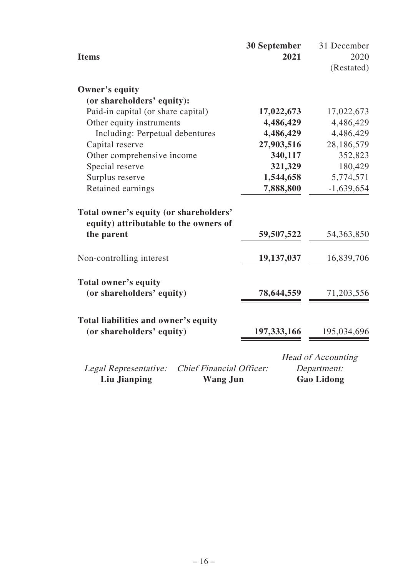|                                                                                                    | <b>30 September</b> | 31 December                                                   |
|----------------------------------------------------------------------------------------------------|---------------------|---------------------------------------------------------------|
| <b>Items</b>                                                                                       | 2021                | 2020                                                          |
|                                                                                                    |                     | (Restated)                                                    |
| Owner's equity                                                                                     |                     |                                                               |
| (or shareholders' equity):                                                                         |                     |                                                               |
| Paid-in capital (or share capital)                                                                 | 17,022,673          | 17,022,673                                                    |
| Other equity instruments                                                                           | 4,486,429           | 4,486,429                                                     |
| Including: Perpetual debentures                                                                    | 4,486,429           | 4,486,429                                                     |
| Capital reserve                                                                                    | 27,903,516          | 28,186,579                                                    |
| Other comprehensive income                                                                         | 340,117             | 352,823                                                       |
| Special reserve                                                                                    | 321,329             | 180,429                                                       |
| Surplus reserve                                                                                    | 1,544,658           | 5,774,571                                                     |
| Retained earnings                                                                                  | 7,888,800           | $-1,639,654$                                                  |
| Total owner's equity (or shareholders'<br>equity) attributable to the owners of<br>the parent      | 59,507,522          | 54, 363, 850                                                  |
| Non-controlling interest                                                                           | 19,137,037          | 16,839,706                                                    |
| Total owner's equity                                                                               |                     |                                                               |
| (or shareholders' equity)                                                                          | 78,644,559          | 71,203,556                                                    |
| Total liabilities and owner's equity<br>(or shareholders' equity)                                  | 197, 333, 166       | 195,034,696                                                   |
| <b>Chief Financial Officer:</b><br>Legal Representative:<br><b>Liu Jianping</b><br><b>Wang Jun</b> |                     | <b>Head of Accounting</b><br>Department:<br><b>Gao Lidong</b> |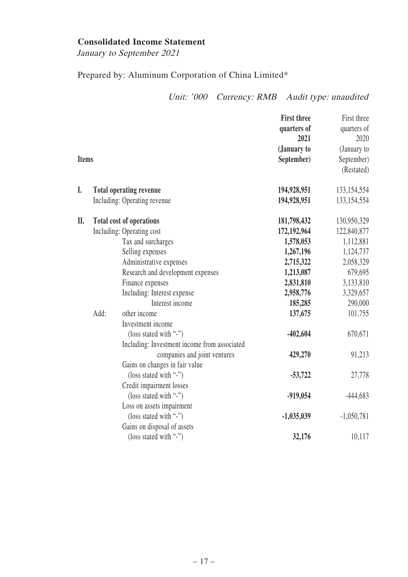## **Consolidated Income Statement**

January to September 2021

## Prepared by: Aluminum Corporation of China Limited\*

## Unit: '000 Currency: RMB Audit type: unaudited

|              |      |                                              | <b>First three</b>  | First three         |
|--------------|------|----------------------------------------------|---------------------|---------------------|
|              |      |                                              | quarters of<br>2021 | quarters of<br>2020 |
|              |      |                                              | (January to         | (January to         |
| <b>Items</b> |      |                                              | September)          | September)          |
|              |      |                                              |                     | (Restated)          |
| I.           |      | <b>Total operating revenue</b>               | 194,928,951         | 133, 154, 554       |
|              |      | Including: Operating revenue                 | 194,928,951         | 133, 154, 554       |
| II.          |      | <b>Total cost of operations</b>              | 181,798,432         | 130,950,329         |
|              |      | Including: Operating cost                    | 172,192,964         | 122,840,877         |
|              |      | Tax and surcharges                           | 1,578,053           | 1,112,881           |
|              |      | Selling expenses                             | 1,267,196           | 1,124,737           |
|              |      | Administrative expenses                      | 2,715,322           | 2,058,329           |
|              |      | Research and development expenses            | 1,213,087           | 679,695             |
|              |      | Finance expenses                             | 2,831,810           | 3,133,810           |
|              |      | Including: Interest expense                  | 2,958,776           | 3,329,657           |
|              |      | Interest income                              | 185,285             | 290,000             |
|              | Add: | other income                                 | 137,675             | 101,755             |
|              |      | Investment income                            |                     |                     |
|              |      | (loss stated with "-")                       | $-402,604$          | 670,671             |
|              |      | Including: Investment income from associated |                     |                     |
|              |      | companies and joint ventures                 | 429,270             | 91,213              |
|              |      | Gains on changes in fair value               |                     |                     |
|              |      | (loss stated with "-")                       | $-53,722$           | 27,778              |
|              |      | Credit impairment losses                     |                     |                     |
|              |      | (loss stated with "-")                       | $-919,054$          | $-444,683$          |
|              |      | Loss on assets impairment                    |                     |                     |
|              |      | (loss stated with "-")                       | $-1,035,039$        | $-1,050,781$        |
|              |      | Gains on disposal of assets                  |                     |                     |
|              |      | (loss stated with "-")                       | 32,176              | 10,117              |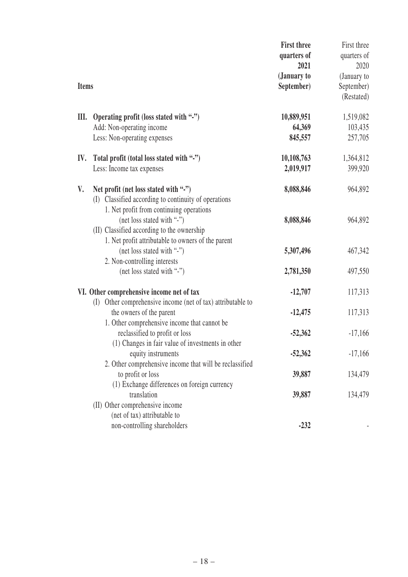|              |                                                                   | <b>First three</b> | First three |
|--------------|-------------------------------------------------------------------|--------------------|-------------|
|              |                                                                   | quarters of        | quarters of |
|              |                                                                   | 2021               | 2020        |
|              |                                                                   | (January to        | (January to |
| <b>Items</b> |                                                                   | September)         | September)  |
|              |                                                                   |                    | (Restated)  |
| III.         | Operating profit (loss stated with "-")                           | 10,889,951         | 1,519,082   |
|              | Add: Non-operating income                                         | 64,369             | 103,435     |
|              | Less: Non-operating expenses                                      | 845,557            | 257,705     |
| IV.          | Total profit (total loss stated with "-")                         | 10,108,763         | 1,364,812   |
|              | Less: Income tax expenses                                         | 2,019,917          | 399,920     |
| V.           | Net profit (net loss stated with "-")                             | 8,088,846          | 964,892     |
|              | Classified according to continuity of operations<br>(I)           |                    |             |
|              | 1. Net profit from continuing operations                          |                    |             |
|              | (net loss stated with "-")                                        | 8,088,846          | 964,892     |
|              | (II) Classified according to the ownership                        |                    |             |
|              | 1. Net profit attributable to owners of the parent                |                    |             |
|              | (net loss stated with "-")                                        | 5,307,496          | 467,342     |
|              | 2. Non-controlling interests<br>(net loss stated with "-")        | 2,781,350          | 497,550     |
|              |                                                                   |                    |             |
|              | VI. Other comprehensive income net of tax                         | $-12,707$          | 117,313     |
|              | (I) Other comprehensive income (net of tax) attributable to       |                    |             |
|              | the owners of the parent                                          | $-12,475$          | 117,313     |
|              | 1. Other comprehensive income that cannot be                      |                    |             |
|              | reclassified to profit or loss                                    | $-52,362$          | $-17,166$   |
|              | (1) Changes in fair value of investments in other                 |                    |             |
|              | equity instruments                                                | $-52,362$          | $-17,166$   |
|              | 2. Other comprehensive income that will be reclassified           |                    | 134,479     |
|              | to profit or loss<br>(1) Exchange differences on foreign currency | 39,887             |             |
|              | translation                                                       | 39,887             | 134,479     |
|              | (II) Other comprehensive income                                   |                    |             |
|              | (net of tax) attributable to                                      |                    |             |
|              | non-controlling shareholders                                      | $-232$             |             |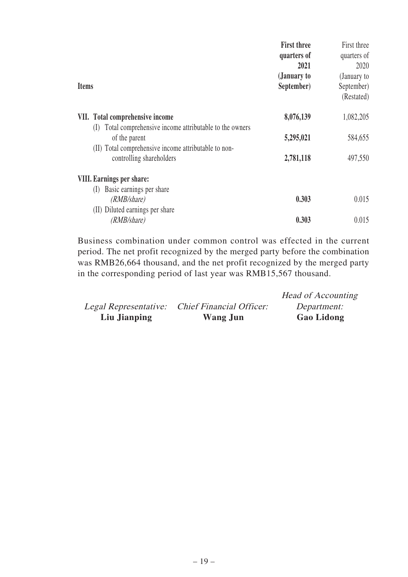|              |                                                              | <b>First three</b><br>quarters of | First three<br>quarters of |
|--------------|--------------------------------------------------------------|-----------------------------------|----------------------------|
|              |                                                              | 2021                              | 2020                       |
|              |                                                              | (January to                       | (January to                |
| <b>Items</b> |                                                              | September)                        | September)                 |
|              |                                                              |                                   | (Restated)                 |
|              | VII. Total comprehensive income                              | 8,076,139                         | 1,082,205                  |
|              | Total comprehensive income attributable to the owners<br>(1) |                                   |                            |
|              | of the parent                                                | 5,295,021                         | 584,655                    |
|              | (II) Total comprehensive income attributable to non-         |                                   |                            |
|              | controlling shareholders                                     | 2,781,118                         | 497,550                    |
|              | <b>VIII.</b> Earnings per share:                             |                                   |                            |
|              | Basic earnings per share<br>(I)                              |                                   |                            |
|              | (RMB/share)                                                  | 0.303                             | 0.015                      |
|              | (II) Diluted earnings per share                              |                                   |                            |
|              | (RMB/share)                                                  | 0.303                             | 0.015                      |

Business combination under common control was effected in the current period. The net profit recognized by the merged party before the combination was RMB26,664 thousand, and the net profit recognized by the merged party in the corresponding period of last year was RMB15,567 thousand.

| Liu Jianping          | <b>Wang Jun</b>                 | <b>Gao Lidong</b>         |
|-----------------------|---------------------------------|---------------------------|
| Legal Representative: | <b>Chief Financial Officer:</b> | Department:               |
|                       |                                 | <b>Head of Accounting</b> |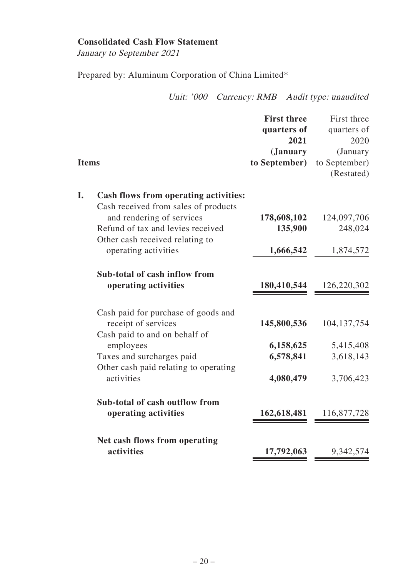#### **Consolidated Cash Flow Statement**

January to September 2021

Prepared by: Aluminum Corporation of China Limited\*

Unit: '000 Currency: RMB Audit type: unaudited

|              |                                                            | <b>First three</b><br>quarters of<br>2021<br>( <b>January</b> | First three<br>quarters of<br>2020<br>(January |
|--------------|------------------------------------------------------------|---------------------------------------------------------------|------------------------------------------------|
| <b>Items</b> |                                                            | to September)                                                 | to September)                                  |
|              |                                                            |                                                               | (Restated)                                     |
| I.           | <b>Cash flows from operating activities:</b>               |                                                               |                                                |
|              | Cash received from sales of products                       |                                                               |                                                |
|              | and rendering of services                                  | 178,608,102                                                   | 124,097,706                                    |
|              | Refund of tax and levies received                          | 135,900                                                       | 248,024                                        |
|              | Other cash received relating to<br>operating activities    | 1,666,542                                                     | 1,874,572                                      |
|              |                                                            |                                                               |                                                |
|              | Sub-total of cash inflow from                              |                                                               |                                                |
|              | operating activities                                       | 180,410,544                                                   | 126,220,302                                    |
|              |                                                            |                                                               |                                                |
|              | Cash paid for purchase of goods and<br>receipt of services | 145,800,536                                                   | 104, 137, 754                                  |
|              | Cash paid to and on behalf of                              |                                                               |                                                |
|              | employees                                                  | 6,158,625                                                     | 5,415,408                                      |
|              | Taxes and surcharges paid                                  | 6,578,841                                                     | 3,618,143                                      |
|              | Other cash paid relating to operating                      |                                                               |                                                |
|              | activities                                                 | 4,080,479                                                     | 3,706,423                                      |
|              | Sub-total of cash outflow from                             |                                                               |                                                |
|              | operating activities                                       | 162,618,481                                                   | 116,877,728                                    |
|              | Net cash flows from operating                              |                                                               |                                                |
|              | activities                                                 | 17,792,063                                                    | 9,342,574                                      |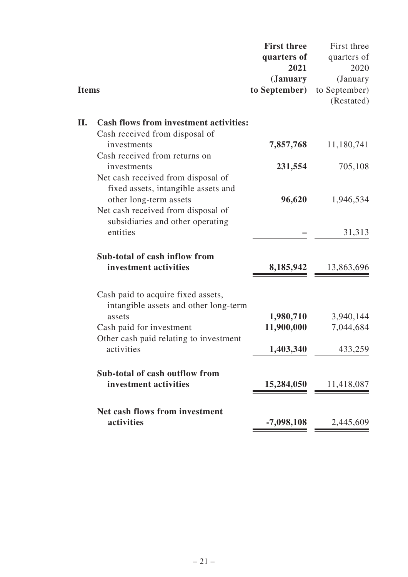|              |                                               | <b>First three</b> | First three   |
|--------------|-----------------------------------------------|--------------------|---------------|
|              |                                               | quarters of        | quarters of   |
|              |                                               | 2021               | 2020          |
|              |                                               | ( <b>January</b>   | (January      |
| <b>Items</b> |                                               | to September)      | to September) |
|              |                                               |                    | (Restated)    |
| II.          |                                               |                    |               |
|              | <b>Cash flows from investment activities:</b> |                    |               |
|              | Cash received from disposal of                |                    |               |
|              | investments                                   | 7,857,768          | 11,180,741    |
|              | Cash received from returns on                 |                    |               |
|              | investments                                   | 231,554            | 705,108       |
|              | Net cash received from disposal of            |                    |               |
|              | fixed assets, intangible assets and           |                    |               |
|              | other long-term assets                        | 96,620             | 1,946,534     |
|              | Net cash received from disposal of            |                    |               |
|              | subsidiaries and other operating<br>entities  |                    |               |
|              |                                               |                    | 31,313        |
|              | Sub-total of cash inflow from                 |                    |               |
|              | investment activities                         | 8,185,942          | 13,863,696    |
|              |                                               |                    |               |
|              | Cash paid to acquire fixed assets,            |                    |               |
|              | intangible assets and other long-term         |                    |               |
|              | assets                                        | 1,980,710          | 3,940,144     |
|              | Cash paid for investment                      | 11,900,000         | 7,044,684     |
|              | Other cash paid relating to investment        |                    |               |
|              | activities                                    | 1,403,340          | 433,259       |
|              |                                               |                    |               |
|              | Sub-total of cash outflow from                |                    |               |
|              | investment activities                         | 15,284,050         | 11,418,087    |
|              |                                               |                    |               |
|              | Net cash flows from investment                |                    |               |
|              | activities                                    | $-7,098,108$       | 2,445,609     |
|              |                                               |                    |               |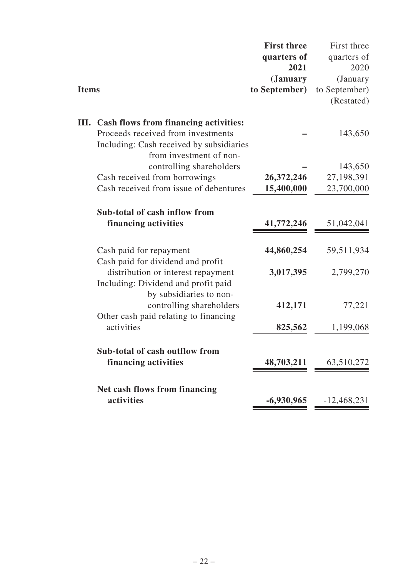|              |                                            | <b>First three</b> | First three   |
|--------------|--------------------------------------------|--------------------|---------------|
|              |                                            | quarters of        | quarters of   |
|              |                                            | 2021               | 2020          |
|              |                                            | ( <b>January</b>   | (January      |
| <b>Items</b> |                                            | to September)      | to September) |
|              |                                            |                    | (Restated)    |
|              |                                            |                    |               |
|              | III. Cash flows from financing activities: |                    |               |
|              | Proceeds received from investments         |                    | 143,650       |
|              | Including: Cash received by subsidiaries   |                    |               |
|              | from investment of non-                    |                    |               |
|              | controlling shareholders                   |                    | 143,650       |
|              | Cash received from borrowings              | 26,372,246         | 27,198,391    |
|              | Cash received from issue of debentures     | 15,400,000         | 23,700,000    |
|              |                                            |                    |               |
|              | Sub-total of cash inflow from              |                    |               |
|              |                                            |                    |               |
|              | financing activities                       | 41,772,246         | 51,042,041    |
|              |                                            |                    |               |
|              | Cash paid for repayment                    | 44,860,254         | 59,511,934    |
|              | Cash paid for dividend and profit          |                    |               |
|              | distribution or interest repayment         | 3,017,395          | 2,799,270     |
|              | Including: Dividend and profit paid        |                    |               |
|              | by subsidiaries to non-                    |                    |               |
|              | controlling shareholders                   | 412,171            | 77,221        |
|              | Other cash paid relating to financing      |                    |               |
|              | activities                                 | 825,562            | 1,199,068     |
|              |                                            |                    |               |
|              | Sub-total of cash outflow from             |                    |               |
|              | financing activities                       | 48,703,211         | 63,510,272    |
|              |                                            |                    |               |
|              |                                            |                    |               |
|              | Net cash flows from financing              |                    |               |
|              | activities                                 | $-6,930,965$       | $-12,468,231$ |